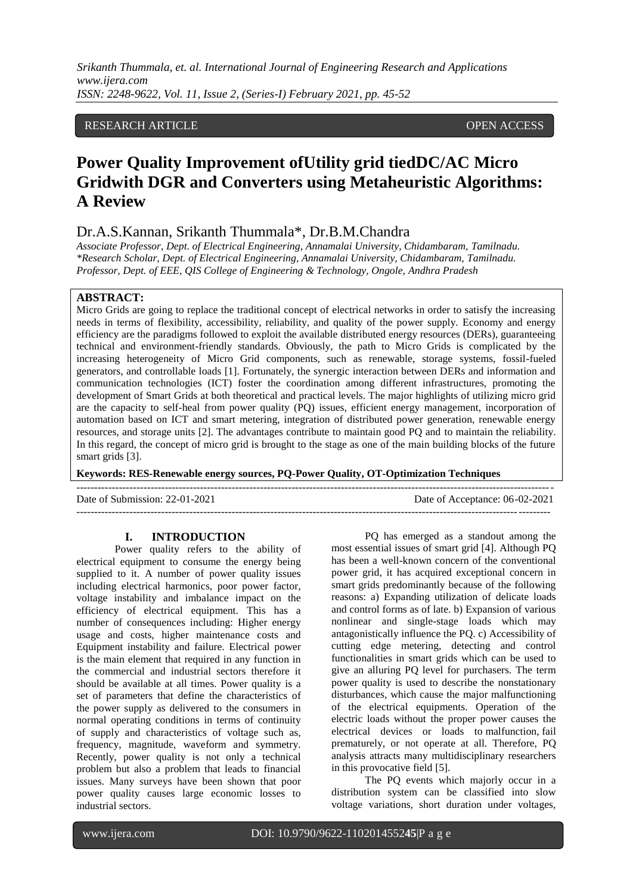*Srikanth Thummala, et. al. International Journal of Engineering Research and Applications www.ijera.com ISSN: 2248-9622, Vol. 11, Issue 2, (Series-I) February 2021, pp. 45-52*

# RESEARCH ARTICLE **CONSERVERS** OPEN ACCESS

# **Power Quality Improvement ofUtility grid tiedDC/AC Micro Gridwith DGR and Converters using Metaheuristic Algorithms: A Review**

# Dr.A.S.Kannan, Srikanth Thummala\*, Dr.B.M.Chandra

*Associate Professor, Dept. of Electrical Engineering, Annamalai University, Chidambaram, Tamilnadu. \*Research Scholar, Dept. of Electrical Engineering, Annamalai University, Chidambaram, Tamilnadu. Professor, Dept. of EEE, QIS College of Engineering & Technology, Ongole, Andhra Pradesh*

# **ABSTRACT:**

Micro Grids are going to replace the traditional concept of electrical networks in order to satisfy the increasing needs in terms of flexibility, accessibility, reliability, and quality of the power supply. Economy and energy efficiency are the paradigms followed to exploit the available distributed energy resources (DERs), guaranteeing technical and environment-friendly standards. Obviously, the path to Micro Grids is complicated by the increasing heterogeneity of Micro Grid components, such as renewable, storage systems, fossil-fueled generators, and controllable loads [1]. Fortunately, the synergic interaction between DERs and information and communication technologies (ICT) foster the coordination among different infrastructures, promoting the development of Smart Grids at both theoretical and practical levels. The major highlights of utilizing micro grid are the capacity to self-heal from power quality (PQ) issues, efficient energy management, incorporation of automation based on ICT and smart metering, integration of distributed power generation, renewable energy resources, and storage units [2]. The advantages contribute to maintain good PQ and to maintain the reliability. In this regard, the concept of micro grid is brought to the stage as one of the main building blocks of the future smart grids [3].

**Keywords: RES-Renewable energy sources, PQ-Power Quality, OT-Optimization Techniques**

--------------------------------------------------------------------------------------------------------------------------------------- Date of Submission: 22-01-2021 Date of Acceptance: 06-02-2021 --------------------------------------------------------------------------------------------------------------------------------------

## **I. INTRODUCTION**

Power quality refers to the ability of electrical equipment to consume the energy being supplied to it. A number of power quality issues including electrical harmonics, poor power factor, voltage instability and imbalance impact on the efficiency of electrical equipment. This has a number of consequences including: Higher energy usage and costs, higher maintenance costs and Equipment instability and failure. Electrical power is the main element that required in any function in the commercial and industrial sectors therefore it should be available at all times. Power quality is a set of parameters that define the characteristics of the power supply as delivered to the consumers in normal operating conditions in terms of continuity of supply and characteristics of voltage such as, frequency, magnitude, waveform and symmetry. Recently, power quality is not only a technical problem but also a problem that leads to financial issues. Many surveys have been shown that poor power quality causes large economic losses to industrial sectors.

PQ has emerged as a standout among the most essential issues of smart grid [4]. Although PQ has been a well-known concern of the conventional power grid, it has acquired exceptional concern in smart grids predominantly because of the following reasons: a) Expanding utilization of delicate loads and control forms as of late. b) Expansion of various nonlinear and single-stage loads which may antagonistically influence the PQ. c) Accessibility of cutting edge metering, detecting and control functionalities in smart grids which can be used to give an alluring PQ level for purchasers. The term power quality is used to describe the nonstationary disturbances, which cause the major malfunctioning of the electrical equipments. Operation of the electric loads without the proper power causes the electrical devices or loads to [malfunction,](https://www.sciencedirect.com/topics/engineering/malfunction) fail prematurely, or not operate at all. Therefore, PQ analysis attracts many multidisciplinary researchers in this provocative field [5].

The PQ events which majorly occur in a distribution system can be classified into slow voltage variations, short duration under voltages,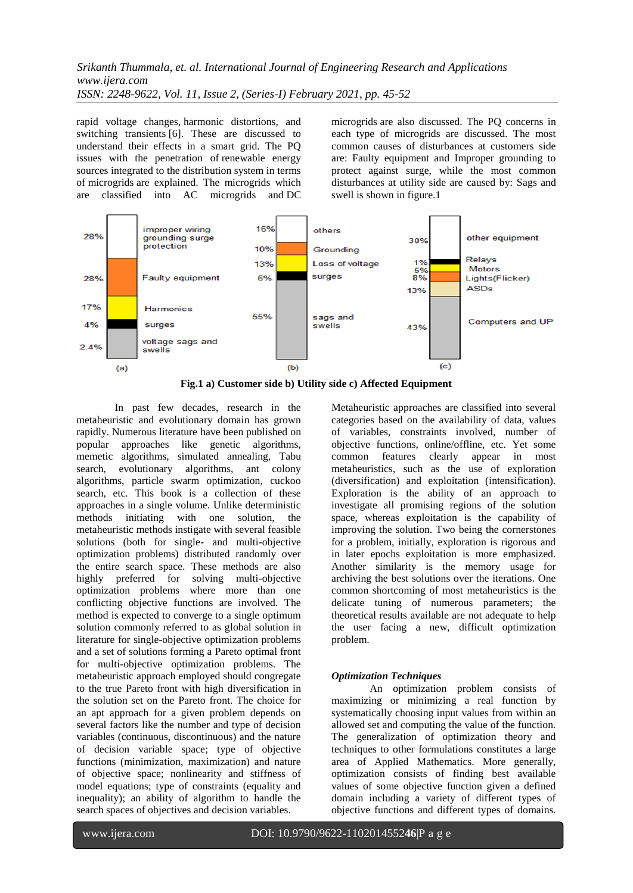# *Srikanth Thummala, et. al. International Journal of Engineering Research and Applications www.ijera.com ISSN: 2248-9622, Vol. 11, Issue 2, (Series-I) February 2021, pp. 45-52*

rapid voltage changes, [harmonic distortions,](https://www.sciencedirect.com/topics/engineering/harmonic-distortion) and switching transients [6]. These are discussed to understand their effects in a smart grid. The PQ issues with the penetration of [renewable energy](https://www.sciencedirect.com/topics/engineering/renewable-energy-source)  [sources](https://www.sciencedirect.com/topics/engineering/renewable-energy-source) integrated to the distribution system in terms of [microgrids](https://www.sciencedirect.com/topics/engineering/micro-grids) are explained. The microgrids which are classified into AC microgrids and [DC](https://www.sciencedirect.com/topics/engineering/dc-microgrid)  [microgrids](https://www.sciencedirect.com/topics/engineering/dc-microgrid) are also discussed. The PQ concerns in each type of microgrids are discussed. The most common causes of disturbances at customers side are: Faulty equipment and Improper grounding to protect against surge, while the most common disturbances at utility side are caused by: Sags and swell is shown in figure.1



**Fig.1 a) Customer side b) Utility side c) Affected Equipment**

In past few decades, research in the metaheuristic and evolutionary domain has grown rapidly. Numerous literature have been published on popular approaches like genetic algorithms, memetic algorithms, simulated annealing, Tabu search, evolutionary algorithms, ant colony algorithms, particle swarm optimization, cuckoo search, etc. This book is a collection of these approaches in a single volume. Unlike deterministic methods initiating with one solution, the metaheuristic methods instigate with several feasible solutions (both for single- and multi-objective optimization problems) distributed randomly over the entire search space. These methods are also highly preferred for solving multi-objective optimization problems where more than one conflicting objective functions are involved. The method is expected to converge to a single optimum solution commonly referred to as global solution in literature for single-objective optimization problems and a set of solutions forming a Pareto optimal front for multi-objective optimization problems. The metaheuristic approach employed should congregate to the true Pareto front with high diversification in the solution set on the Pareto front. The choice for an apt approach for a given problem depends on several factors like the number and type of decision variables (continuous, discontinuous) and the nature of decision variable space; type of objective functions (minimization, maximization) and nature of objective space; nonlinearity and stiffness of model equations; type of constraints (equality and inequality); an ability of algorithm to handle the search spaces of objectives and decision variables.

Metaheuristic approaches are classified into several categories based on the availability of data, values of variables, constraints involved, number of objective functions, online/offline, etc. Yet some common features clearly appear in most metaheuristics, such as the use of exploration (diversification) and exploitation (intensification). Exploration is the ability of an approach to investigate all promising regions of the solution space, whereas exploitation is the capability of improving the solution. Two being the cornerstones for a problem, initially, exploration is rigorous and in later epochs exploitation is more emphasized. Another similarity is the memory usage for archiving the best solutions over the iterations. One common shortcoming of most metaheuristics is the delicate tuning of numerous parameters; the theoretical results available are not adequate to help the user facing a new, difficult optimization problem.

#### *Optimization Techniques*

An optimization problem consists of maximizing or minimizing a real function by systematically choosing input values from within an allowed set and computing the value of the function. The generalization of optimization theory and techniques to other formulations constitutes a large area of Applied Mathematics. More generally, optimization consists of finding best available values of some objective function given a defined domain including a variety of different types of objective functions and different types of domains.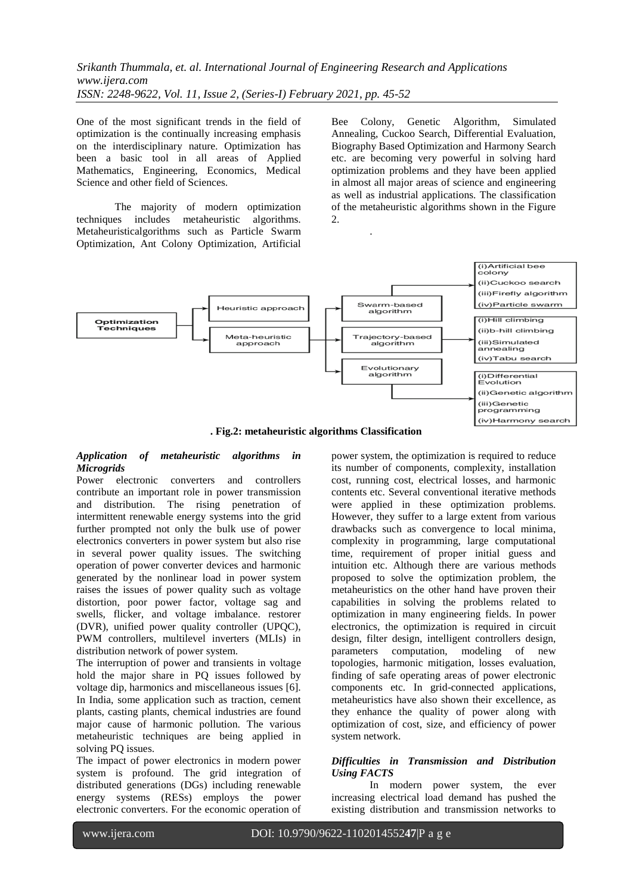*Srikanth Thummala, et. al. International Journal of Engineering Research and Applications www.ijera.com ISSN: 2248-9622, Vol. 11, Issue 2, (Series-I) February 2021, pp. 45-52*

One of the most significant trends in the field of optimization is the continually increasing emphasis on the interdisciplinary nature. Optimization has been a basic tool in all areas of Applied Mathematics, Engineering, Economics, Medical Science and other field of Sciences.

The majority of modern optimization techniques includes metaheuristic algorithms. Metaheuristicalgorithms such as Particle Swarm Optimization, Ant Colony Optimization, Artificial Bee Colony, Genetic Algorithm, Simulated Annealing, Cuckoo Search, Differential Evaluation, Biography Based Optimization and Harmony Search etc. are becoming very powerful in solving hard optimization problems and they have been applied in almost all major areas of science and engineering as well as industrial applications. The classification of the metaheuristic algorithms shown in the Figure 2.



.

**. Fig.2: metaheuristic algorithms Classification**

#### *Application of metaheuristic algorithms in Microgrids*

Power electronic converters and controllers contribute an important role in power transmission and distribution. The rising penetration of intermittent renewable energy systems into the grid further prompted not only the bulk use of power electronics converters in power system but also rise in several power quality issues. The switching operation of power converter devices and harmonic generated by the nonlinear load in power system raises the issues of power quality such as voltage distortion, poor power factor, voltage sag and swells, flicker, and voltage imbalance. restorer (DVR), unified power quality controller (UPQC), PWM controllers, multilevel inverters (MLIs) in distribution network of power system.

The interruption of power and transients in voltage hold the major share in PQ issues followed by voltage dip, harmonics and miscellaneous issues [6]. In India, some application such as traction, cement plants, casting plants, chemical industries are found major cause of harmonic pollution. The various metaheuristic techniques are being applied in solving PQ issues.

The impact of power electronics in modern power system is profound. The grid integration of distributed generations (DGs) including renewable energy systems (RESs) employs the power electronic converters. For the economic operation of power system, the optimization is required to reduce its number of components, complexity, installation cost, running cost, electrical losses, and harmonic contents etc. Several conventional iterative methods were applied in these optimization problems. However, they suffer to a large extent from various drawbacks such as convergence to local minima, complexity in programming, large computational time, requirement of proper initial guess and intuition etc. Although there are various methods proposed to solve the optimization problem, the metaheuristics on the other hand have proven their capabilities in solving the problems related to optimization in many engineering fields. In power electronics, the optimization is required in circuit design, filter design, intelligent controllers design, parameters computation, modeling of new topologies, harmonic mitigation, losses evaluation, finding of safe operating areas of power electronic components etc. In grid-connected applications, metaheuristics have also shown their excellence, as they enhance the quality of power along with optimization of cost, size, and efficiency of power system network.

#### *Difficulties in Transmission and Distribution Using FACTS*

In modern power system, the ever increasing electrical load demand has pushed the existing distribution and transmission networks to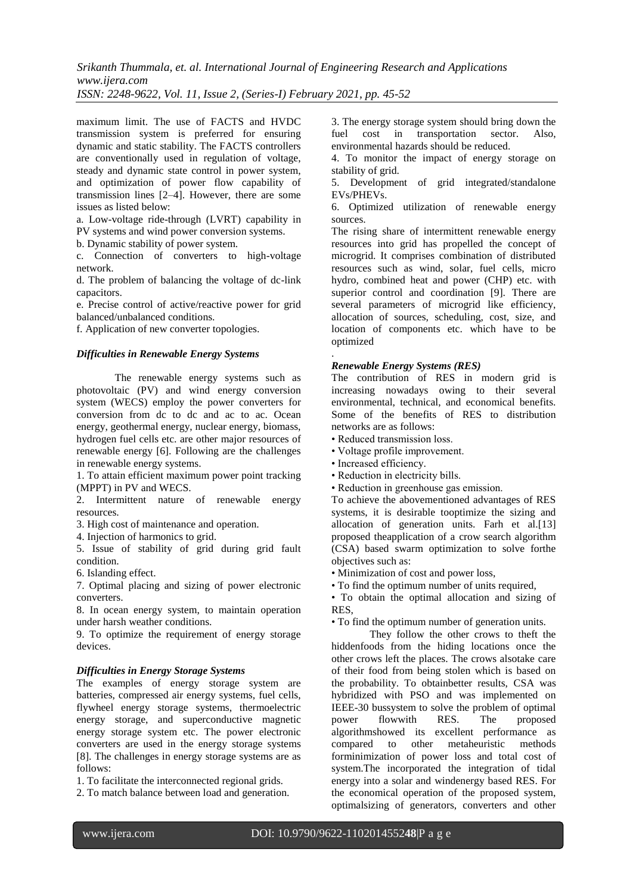# *Srikanth Thummala, et. al. International Journal of Engineering Research and Applications www.ijera.com*

*ISSN: 2248-9622, Vol. 11, Issue 2, (Series-I) February 2021, pp. 45-52*

maximum limit. The use of FACTS and HVDC transmission system is preferred for ensuring dynamic and static stability. The FACTS controllers are conventionally used in regulation of voltage, steady and dynamic state control in power system, and optimization of power flow capability of transmission lines [2–4]. However, there are some issues as listed below:

a. Low-voltage ride-through (LVRT) capability in PV systems and wind power conversion systems.

b. Dynamic stability of power system.

c. Connection of converters to high-voltage network.

d. The problem of balancing the voltage of dc-link capacitors.

e. Precise control of active/reactive power for grid balanced/unbalanced conditions.

f. Application of new converter topologies.

#### *Difficulties in Renewable Energy Systems*

The renewable energy systems such as photovoltaic (PV) and wind energy conversion system (WECS) employ the power converters for conversion from dc to dc and ac to ac. Ocean energy, geothermal energy, nuclear energy, biomass, hydrogen fuel cells etc. are other major resources of renewable energy [6]. Following are the challenges in renewable energy systems.

1. To attain efficient maximum power point tracking (MPPT) in PV and WECS.

2. Intermittent nature of renewable energy resources.

3. High cost of maintenance and operation.

4. Injection of harmonics to grid.

5. Issue of stability of grid during grid fault condition.

6. Islanding effect.

7. Optimal placing and sizing of power electronic converters.

8. In ocean energy system, to maintain operation under harsh weather conditions.

9. To optimize the requirement of energy storage devices.

#### *Difficulties in Energy Storage Systems*

The examples of energy storage system are batteries, compressed air energy systems, fuel cells, flywheel energy storage systems, thermoelectric energy storage, and superconductive magnetic energy storage system etc. The power electronic converters are used in the energy storage systems [8]. The challenges in energy storage systems are as follows:

1. To facilitate the interconnected regional grids.

2. To match balance between load and generation.

3. The energy storage system should bring down the fuel cost in transportation sector. Also, environmental hazards should be reduced.

4. To monitor the impact of energy storage on stability of grid.

5. Development of grid integrated/standalone EVs/PHEVs.

6. Optimized utilization of renewable energy sources.

The rising share of intermittent renewable energy resources into grid has propelled the concept of microgrid. It comprises combination of distributed resources such as wind, solar, fuel cells, micro hydro, combined heat and power (CHP) etc. with superior control and coordination [9]. There are several parameters of microgrid like efficiency, allocation of sources, scheduling, cost, size, and location of components etc. which have to be optimized

#### *Renewable Energy Systems (RES)*

The contribution of RES in modern grid is increasing nowadays owing to their several environmental, technical, and economical benefits. Some of the benefits of RES to distribution networks are as follows:

- Reduced transmission loss.
- Voltage profile improvement.
- Increased efficiency.

.

- Reduction in electricity bills.
- Reduction in greenhouse gas emission.

To achieve the abovementioned advantages of RES systems, it is desirable tooptimize the sizing and allocation of generation units. Farh et al.[13] proposed theapplication of a crow search algorithm (CSA) based swarm optimization to solve forthe objectives such as:

- Minimization of cost and power loss,
- To find the optimum number of units required,

• To obtain the optimal allocation and sizing of RES,

• To find the optimum number of generation units.

They follow the other crows to theft the hiddenfoods from the hiding locations once the other crows left the places. The crows alsotake care of their food from being stolen which is based on the probability. To obtainbetter results, CSA was hybridized with PSO and was implemented on IEEE-30 bussystem to solve the problem of optimal power flowwith RES. The proposed algorithmshowed its excellent performance as compared to other metaheuristic methods forminimization of power loss and total cost of system.The incorporated the integration of tidal energy into a solar and windenergy based RES. For the economical operation of the proposed system, optimalsizing of generators, converters and other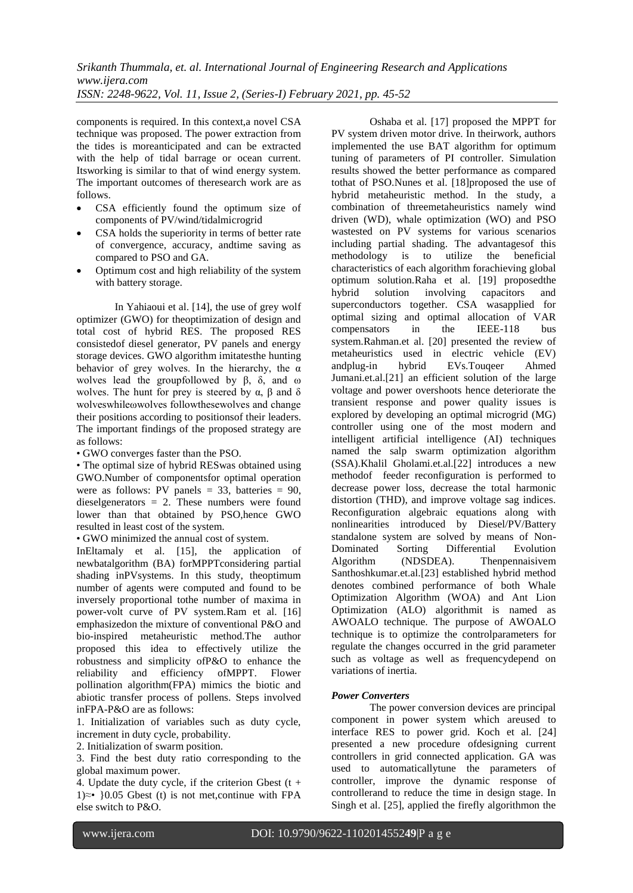components is required. In this context,a novel CSA technique was proposed. The power extraction from the tides is moreanticipated and can be extracted with the help of tidal barrage or ocean current. Itsworking is similar to that of wind energy system. The important outcomes of theresearch work are as follows.

- CSA efficiently found the optimum size of components of PV/wind/tidalmicrogrid
- CSA holds the superiority in terms of better rate of convergence, accuracy, andtime saving as compared to PSO and GA.
- Optimum cost and high reliability of the system with battery storage.

In Yahiaoui et al. [14], the use of grey wolf optimizer (GWO) for theoptimization of design and total cost of hybrid RES. The proposed RES consistedof diesel generator, PV panels and energy storage devices. GWO algorithm imitatesthe hunting behavior of grey wolves. In the hierarchy, the  $\alpha$ wolves lead the groupfollowed by  $\beta$ ,  $\delta$ , and  $\omega$ wolves. The hunt for prey is steered by  $\alpha$ ,  $\beta$  and  $\delta$ wolveswhileωwolves followthesewolves and change their positions according to positionsof their leaders. The important findings of the proposed strategy are as follows:

• GWO converges faster than the PSO.

• The optimal size of hybrid RESwas obtained using GWO.Number of componentsfor optimal operation were as follows: PV panels  $= 33$ , batteries  $= 90$ , dieselgenerators = 2. These numbers were found lower than that obtained by PSO,hence GWO resulted in least cost of the system.

• GWO minimized the annual cost of system.

InEltamaly et al. [15], the application of newbatalgorithm (BA) forMPPTconsidering partial shading inPVsystems. In this study, theoptimum number of agents were computed and found to be inversely proportional tothe number of maxima in power-volt curve of PV system.Ram et al. [16] emphasizedon the mixture of conventional P&O and bio-inspired metaheuristic method.The author proposed this idea to effectively utilize the robustness and simplicity ofP&O to enhance the reliability and efficiency ofMPPT. Flower pollination algorithm(FPA) mimics the biotic and abiotic transfer process of pollens. Steps involved inFPA-P&O are as follows:

1. Initialization of variables such as duty cycle, increment in duty cycle, probability.

2. Initialization of swarm position.

3. Find the best duty ratio corresponding to the global maximum power.

4. Update the duty cycle, if the criterion Gbest  $(t +$  $1 \approx \cdot 0.05$  Gbest (t) is not met, continue with FPA else switch to P&O.

Oshaba et al. [17] proposed the MPPT for PV system driven motor drive. In theirwork, authors implemented the use BAT algorithm for optimum tuning of parameters of PI controller. Simulation results showed the better performance as compared tothat of PSO.Nunes et al. [18]proposed the use of hybrid metaheuristic method. In the study, a combination of threemetaheuristics namely wind driven (WD), whale optimization (WO) and PSO wastested on PV systems for various scenarios including partial shading. The advantagesof this methodology is to utilize the beneficial characteristics of each algorithm forachieving global optimum solution.Raha et al. [19] proposedthe hybrid solution involving capacitors and superconductors together. CSA wasapplied for optimal sizing and optimal allocation of VAR compensators in the IEEE-118 bus system.Rahman.et al. [20] presented the review of metaheuristics used in electric vehicle (EV) andplug-in hybrid EVs.Touqeer Ahmed Jumani.et.al.[21] an efficient solution of the large voltage and power overshoots hence deteriorate the transient response and power quality issues is explored by developing an optimal microgrid (MG) controller using one of the most modern and intelligent artificial intelligence (AI) techniques named the salp swarm optimization algorithm (SSA).Khalil Gholami.et.al.[22] introduces a new methodof feeder reconfiguration is performed to decrease power loss, decrease the total harmonic distortion (THD), and improve voltage sag indices. Reconfiguration algebraic equations along with nonlinearities introduced by Diesel/PV/Battery standalone system are solved by means of Non-Dominated Sorting Differential Evolution<br>Algorithm (NDSDEA). Thenpennaisivem (NDSDEA). Thenpennaisivem Santhoshkumar.et.al.[23] established hybrid method denotes combined performance of both Whale Optimization Algorithm (WOA) and Ant Lion Optimization (ALO) algorithmit is named as AWOALO technique. The purpose of AWOALO technique is to optimize the controlparameters for regulate the changes occurred in the grid parameter such as voltage as well as frequencydepend on variations of inertia.

#### *Power Converters*

The power conversion devices are principal component in power system which areused to interface RES to power grid. Koch et al. [24] presented a new procedure ofdesigning current controllers in grid connected application. GA was used to automaticallytune the parameters of controller, improve the dynamic response of controllerand to reduce the time in design stage. In Singh et al. [25], applied the firefly algorithmon the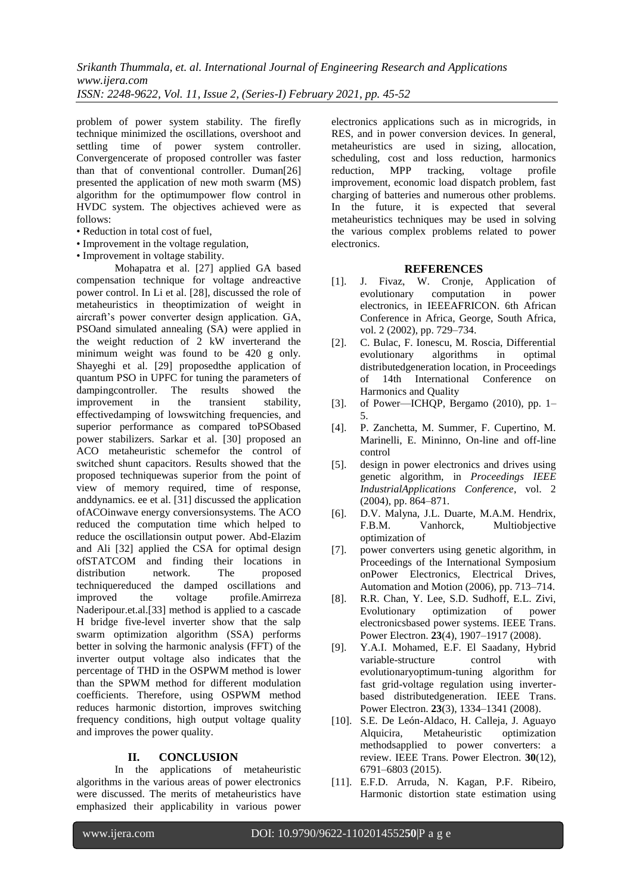problem of power system stability. The firefly technique minimized the oscillations, overshoot and settling time of power system controller. Convergencerate of proposed controller was faster than that of conventional controller. Duman[26] presented the application of new moth swarm (MS) algorithm for the optimumpower flow control in HVDC system. The objectives achieved were as follows:

- Reduction in total cost of fuel,
- Improvement in the voltage regulation,
- Improvement in voltage stability.

Mohapatra et al. [27] applied GA based compensation technique for voltage andreactive power control. In Li et al. [28], discussed the role of metaheuristics in theoptimization of weight in aircraft's power converter design application. GA, PSOand simulated annealing (SA) were applied in the weight reduction of 2 kW inverterand the minimum weight was found to be 420 g only. Shayeghi et al. [29] proposedthe application of quantum PSO in UPFC for tuning the parameters of dampingcontroller. The results showed the improvement in the transient stability, effectivedamping of lowswitching frequencies, and superior performance as compared toPSObased power stabilizers. Sarkar et al. [30] proposed an ACO metaheuristic schemefor the control of switched shunt capacitors. Results showed that the proposed techniquewas superior from the point of view of memory required, time of response, anddynamics. ee et al. [31] discussed the application ofACOinwave energy conversionsystems. The ACO reduced the computation time which helped to reduce the oscillationsin output power. Abd-Elazim and Ali [32] applied the CSA for optimal design ofSTATCOM and finding their locations in distribution network. The proposed techniquereduced the damped oscillations and improved the voltage profile.Amirreza Naderipour.et.al.[33] method is applied to a cascade H bridge five-level inverter show that the salp swarm optimization algorithm (SSA) performs better in solving the harmonic analysis (FFT) of the inverter output voltage also indicates that the percentage of THD in the OSPWM method is lower than the SPWM method for different modulation coefficients. Therefore, using OSPWM method reduces harmonic distortion, improves switching frequency conditions, high output voltage quality and improves the power quality.

# **II. CONCLUSION**

In the applications of metaheuristic algorithms in the various areas of power electronics were discussed. The merits of metaheuristics have emphasized their applicability in various power electronics applications such as in microgrids, in RES, and in power conversion devices. In general, metaheuristics are used in sizing, allocation, scheduling, cost and loss reduction, harmonics<br>reduction, MPP tracking, voltage profile reduction, MPP tracking, voltage improvement, economic load dispatch problem, fast charging of batteries and numerous other problems. In the future, it is expected that several metaheuristics techniques may be used in solving the various complex problems related to power electronics.

## **REFERENCES**

- [1]. J. Fivaz, W. Cronje, Application of evolutionary computation in power electronics, in IEEEAFRICON. 6th African Conference in Africa, George, South Africa, vol. 2 (2002), pp. 729–734.
- [2]. C. Bulac, F. Ionescu, M. Roscia, Differential evolutionary algorithms in distributedgeneration location, in Proceedings of 14th International Conference on Harmonics and Quality
- [3]. of Power—ICHQP, Bergamo (2010), pp. 1– 5.
- [4]. P. Zanchetta, M. Summer, F. Cupertino, M. Marinelli, E. Mininno, On-line and off-line control
- [5]. design in power electronics and drives using genetic algorithm, in *Proceedings IEEE IndustrialApplications Conference*, vol. 2 (2004), pp. 864–871.
- [6]. D.V. Malyna, J.L. Duarte, M.A.M. Hendrix, F.B.M. Vanhorck, Multiobjective optimization of
- [7]. power converters using genetic algorithm, in Proceedings of the International Symposium onPower Electronics, Electrical Drives, Automation and Motion (2006), pp. 713–714.
- [8]. R.R. Chan, Y. Lee, S.D. Sudhoff, E.L. Zivi, Evolutionary optimization of power electronicsbased power systems. IEEE Trans. Power Electron. **23**(4), 1907–1917 (2008).
- [9]. Y.A.I. Mohamed, E.F. El Saadany, Hybrid variable-structure control with evolutionaryoptimum-tuning algorithm for fast grid-voltage regulation using inverterbased distributedgeneration. IEEE Trans. Power Electron. **23**(3), 1334–1341 (2008).
- [10]. S.E. De León-Aldaco, H. Calleja, J. Aguayo Alquicira, Metaheuristic optimization methodsapplied to power converters: a review. IEEE Trans. Power Electron. **30**(12), 6791–6803 (2015).
- [11]. E.F.D. Arruda, N. Kagan, P.F. Ribeiro, Harmonic distortion state estimation using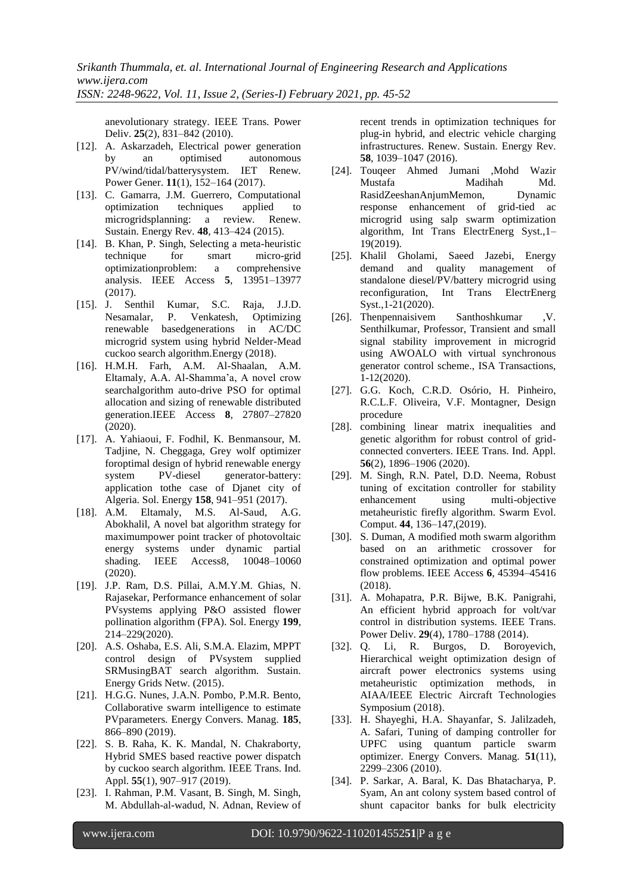anevolutionary strategy. IEEE Trans. Power Deliv. **25**(2), 831–842 (2010).

- [12]. A. Askarzadeh, Electrical power generation by an optimised autonomous PV/wind/tidal/batterysystem. IET Renew. Power Gener. **11**(1), 152–164 (2017).
- [13]. C. Gamarra, J.M. Guerrero, Computational optimization techniques applied to microgridsplanning: a review. Renew. Sustain. Energy Rev. **48**, 413–424 (2015).
- [14]. B. Khan, P. Singh, Selecting a meta-heuristic technique for smart micro-grid<br>optimizationproblem: a comprehensive optimizationproblem: a analysis. IEEE Access **5**, 13951–13977 (2017).
- [15]. J. Senthil Kumar, S.C. Raja, J.J.D. Nesamalar, P. Venkatesh, Optimizing renewable basedgenerations in AC/DC microgrid system using hybrid Nelder-Mead cuckoo search algorithm.Energy (2018).
- [16]. H.M.H. Farh, A.M. Al-Shaalan, A.M. Eltamaly, A.A. Al-Shamma'a, A novel crow searchalgorithm auto-drive PSO for optimal allocation and sizing of renewable distributed generation.IEEE Access **8**, 27807–27820 (2020).
- [17]. A. Yahiaoui, F. Fodhil, K. Benmansour, M. Tadjine, N. Cheggaga, Grey wolf optimizer foroptimal design of hybrid renewable energy system PV-diesel generator-battery: application tothe case of Djanet city of Algeria. Sol. Energy **158**, 941–951 (2017).
- [18]. A.M. Eltamaly, M.S. Al-Saud, A.G. Abokhalil, A novel bat algorithm strategy for maximumpower point tracker of photovoltaic energy systems under dynamic partial shading. IEEE Access8, 10048–10060 (2020).
- [19]. J.P. Ram, D.S. Pillai, A.M.Y.M. Ghias, N. Rajasekar, Performance enhancement of solar PVsystems applying P&O assisted flower pollination algorithm (FPA). Sol. Energy **199**, 214–229(2020).
- [20]. A.S. Oshaba, E.S. Ali, S.M.A. Elazim, MPPT control design of PVsystem supplied SRMusingBAT search algorithm. Sustain. Energy Grids Netw. (2015).
- [21]. H.G.G. Nunes, J.A.N. Pombo, P.M.R. Bento, Collaborative swarm intelligence to estimate PVparameters. Energy Convers. Manag. **185**, 866–890 (2019).
- [22]. S. B. Raha, K. K. Mandal, N. Chakraborty, Hybrid SMES based reactive power dispatch by cuckoo search algorithm. IEEE Trans. Ind. Appl. **55**(1), 907–917 (2019).
- [23]. I. Rahman, P.M. Vasant, B. Singh, M. Singh, M. Abdullah-al-wadud, N. Adnan, Review of

recent trends in optimization techniques for plug-in hybrid, and electric vehicle charging infrastructures. Renew. Sustain. Energy Rev. **58**, 1039–1047 (2016).

- [24]. Touqeer Ahmed Jumani ,Mohd Wazir Mustafa Madihah Md. RasidZeeshanAnjumMemon, Dynamic response enhancement of grid-tied ac microgrid using salp swarm optimization algorithm, Int Trans ElectrEnerg Syst.,1– 19(2019).
- [25]. Khalil Gholami, Saeed Jazebi, Energy demand and quality management of standalone diesel/PV/battery microgrid using reconfiguration, Int Trans ElectrEnerg Syst.,1-21(2020).
- [26]. Thenpennaisivem Santhoshkumar ,V. Senthilkumar, Professor, Transient and small signal stability improvement in microgrid using AWOALO with virtual synchronous generator control scheme., ISA Transactions, 1-12(2020).
- [27]. G.G. Koch, C.R.D. Osório, H. Pinheiro, R.C.L.F. Oliveira, V.F. Montagner, Design procedure
- [28]. combining linear matrix inequalities and genetic algorithm for robust control of gridconnected converters. IEEE Trans. Ind. Appl. **56**(2), 1896–1906 (2020).
- [29]. M. Singh, R.N. Patel, D.D. Neema, Robust tuning of excitation controller for stability enhancement using multi-objective metaheuristic firefly algorithm. Swarm Evol. Comput. **44**, 136–147,(2019).
- [30]. S. Duman, A modified moth swarm algorithm based on an arithmetic crossover for constrained optimization and optimal power flow problems. IEEE Access **6**, 45394–45416 (2018).
- [31]. A. Mohapatra, P.R. Bijwe, B.K. Panigrahi, An efficient hybrid approach for volt/var control in distribution systems. IEEE Trans. Power Deliv. **29**(4), 1780–1788 (2014).
- [32]. Q. Li, R. Burgos, D. Boroyevich, Hierarchical weight optimization design of aircraft power electronics systems using metaheuristic optimization methods, in AIAA/IEEE Electric Aircraft Technologies Symposium (2018).
- [33]. H. Shayeghi, H.A. Shayanfar, S. Jalilzadeh, A. Safari, Tuning of damping controller for UPFC using quantum particle swarm optimizer. Energy Convers. Manag. **51**(11), 2299–2306 (2010).
- [34]. P. Sarkar, A. Baral, K. Das Bhatacharya, P. Syam, An ant colony system based control of shunt capacitor banks for bulk electricity